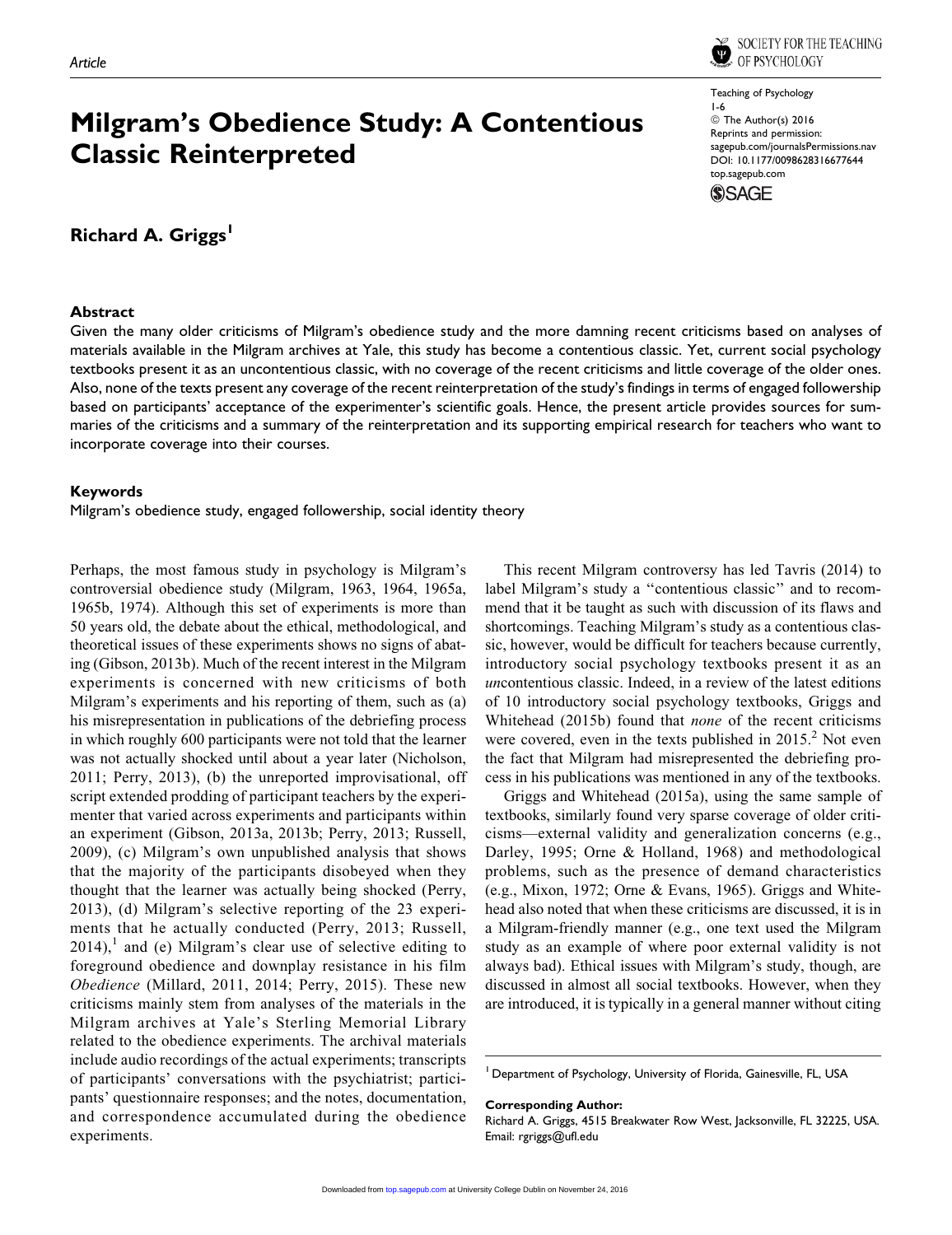

# Milgram's Obedience Study: A Contentious Classic Reinterpreted

## Richard A. Griggs<sup>1</sup>

## **Abstract**

Teaching of Psychology 1-6 © The Author(s) 2016 Reprints and permission: [sagepub.com/journalsPermissions.nav](http://www.sagepub.com/journalsPermissions.nav) [DOI: 10.1177/0098628316677644](https://doi.org/10.1177/0098628316677644) [top.sagepub.com](http://top.sagepub.com)



Given the many older criticisms of Milgram's obedience study and the more damning recent criticisms based on analyses of materials available in the Milgram archives at Yale, this study has become a contentious classic. Yet, current social psychology textbooks present it as an uncontentious classic, with no coverage of the recent criticisms and little coverage of the older ones. Also, none of the texts present any coverage of the recent reinterpretation of the study's findings in terms of engaged followership based on participants' acceptance of the experimenter's scientific goals. Hence, the present article provides sources for summaries of the criticisms and a summary of the reinterpretation and its supporting empirical research for teachers who want to incorporate coverage into their courses.

## Keywords

Milgram's obedience study, engaged followership, social identity theory

Perhaps, the most famous study in psychology is Milgram's controversial obedience study (Milgram, 1963, 1964, 1965a, 1965b, 1974). Although this set of experiments is more than 50 years old, the debate about the ethical, methodological, and theoretical issues of these experiments shows no signs of abating (Gibson, 2013b). Much of the recent interest in the Milgram experiments is concerned with new criticisms of both Milgram's experiments and his reporting of them, such as (a) his misrepresentation in publications of the debriefing process in which roughly 600 participants were not told that the learner was not actually shocked until about a year later (Nicholson, 2011; Perry, 2013), (b) the unreported improvisational, off script extended prodding of participant teachers by the experimenter that varied across experiments and participants within an experiment (Gibson, 2013a, 2013b; Perry, 2013; Russell, 2009), (c) Milgram's own unpublished analysis that shows that the majority of the participants disobeyed when they thought that the learner was actually being shocked (Perry, 2013), (d) Milgram's selective reporting of the 23 experiments that he actually conducted (Perry, 2013; Russell,  $2014$ , and (e) Milgram's clear use of selective editing to foreground obedience and downplay resistance in his film Obedience (Millard, 2011, 2014; Perry, 2015). These new criticisms mainly stem from analyses of the materials in the Milgram archives at Yale's Sterling Memorial Library related to the obedience experiments. The archival materials include audio recordings of the actual experiments; transcripts of participants' conversations with the psychiatrist; participants' questionnaire responses; and the notes, documentation, and correspondence accumulated during the obedience experiments.

This recent Milgram controversy has led Tavris (2014) to label Milgram's study a ''contentious classic'' and to recommend that it be taught as such with discussion of its flaws and shortcomings. Teaching Milgram's study as a contentious classic, however, would be difficult for teachers because currently, introductory social psychology textbooks present it as an uncontentious classic. Indeed, in a review of the latest editions of 10 introductory social psychology textbooks, Griggs and Whitehead (2015b) found that none of the recent criticisms were covered, even in the texts published in  $2015<sup>2</sup>$  Not even the fact that Milgram had misrepresented the debriefing process in his publications was mentioned in any of the textbooks.

Griggs and Whitehead (2015a), using the same sample of textbooks, similarly found very sparse coverage of older criticisms—external validity and generalization concerns (e.g., Darley, 1995; Orne & Holland, 1968) and methodological problems, such as the presence of demand characteristics (e.g., Mixon, 1972; Orne & Evans, 1965). Griggs and Whitehead also noted that when these criticisms are discussed, it is in a Milgram-friendly manner (e.g., one text used the Milgram study as an example of where poor external validity is not always bad). Ethical issues with Milgram's study, though, are discussed in almost all social textbooks. However, when they are introduced, it is typically in a general manner without citing

Corresponding Author:

<sup>&</sup>lt;sup>1</sup> Department of Psychology, University of Florida, Gainesville, FL, USA

Richard A. Griggs, 4515 Breakwater Row West, Jacksonville, FL 32225, USA. Email: rgriggs@ufl.edu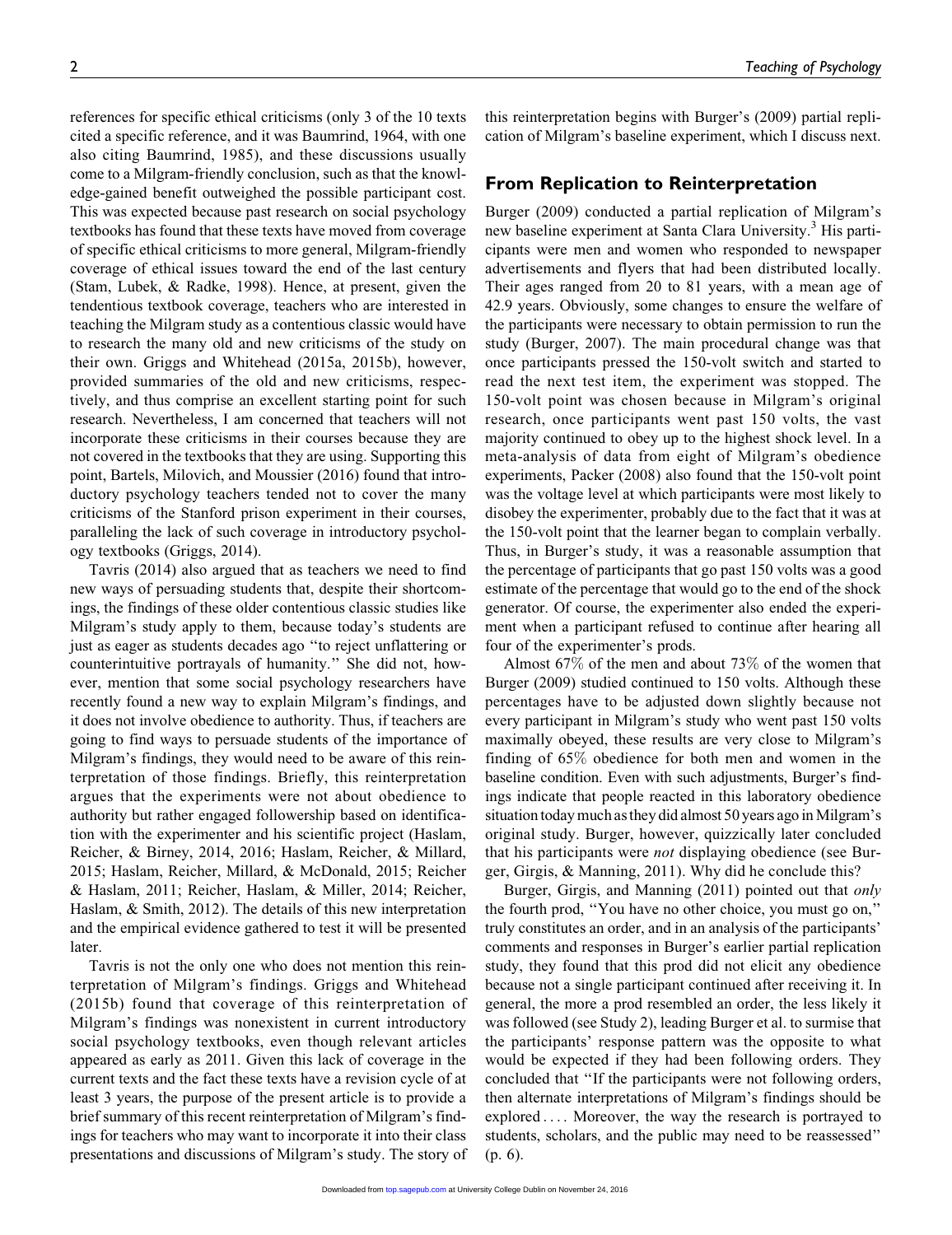references for specific ethical criticisms (only 3 of the 10 texts cited a specific reference, and it was Baumrind, 1964, with one also citing Baumrind, 1985), and these discussions usually come to a Milgram-friendly conclusion, such as that the knowledge-gained benefit outweighed the possible participant cost. This was expected because past research on social psychology textbooks has found that these texts have moved from coverage of specific ethical criticisms to more general, Milgram-friendly coverage of ethical issues toward the end of the last century (Stam, Lubek, & Radke, 1998). Hence, at present, given the tendentious textbook coverage, teachers who are interested in teaching the Milgram study as a contentious classic would have to research the many old and new criticisms of the study on their own. Griggs and Whitehead (2015a, 2015b), however, provided summaries of the old and new criticisms, respectively, and thus comprise an excellent starting point for such research. Nevertheless, I am concerned that teachers will not incorporate these criticisms in their courses because they are not covered in the textbooks that they are using. Supporting this point, Bartels, Milovich, and Moussier (2016) found that introductory psychology teachers tended not to cover the many criticisms of the Stanford prison experiment in their courses, paralleling the lack of such coverage in introductory psychology textbooks (Griggs, 2014).

Tavris (2014) also argued that as teachers we need to find new ways of persuading students that, despite their shortcomings, the findings of these older contentious classic studies like Milgram's study apply to them, because today's students are just as eager as students decades ago ''to reject unflattering or counterintuitive portrayals of humanity.'' She did not, however, mention that some social psychology researchers have recently found a new way to explain Milgram's findings, and it does not involve obedience to authority. Thus, if teachers are going to find ways to persuade students of the importance of Milgram's findings, they would need to be aware of this reinterpretation of those findings. Briefly, this reinterpretation argues that the experiments were not about obedience to authority but rather engaged followership based on identification with the experimenter and his scientific project (Haslam, Reicher, & Birney, 2014, 2016; Haslam, Reicher, & Millard, 2015; Haslam, Reicher, Millard, & McDonald, 2015; Reicher & Haslam, 2011; Reicher, Haslam, & Miller, 2014; Reicher, Haslam, & Smith, 2012). The details of this new interpretation and the empirical evidence gathered to test it will be presented later.

Tavris is not the only one who does not mention this reinterpretation of Milgram's findings. Griggs and Whitehead (2015b) found that coverage of this reinterpretation of Milgram's findings was nonexistent in current introductory social psychology textbooks, even though relevant articles appeared as early as 2011. Given this lack of coverage in the current texts and the fact these texts have a revision cycle of at least 3 years, the purpose of the present article is to provide a brief summary of this recent reinterpretation of Milgram's findings for teachers who may want to incorporate it into their class presentations and discussions of Milgram's study. The story of this reinterpretation begins with Burger's (2009) partial replication of Milgram's baseline experiment, which I discuss next.

## From Replication to Reinterpretation

Burger (2009) conducted a partial replication of Milgram's new baseline experiment at Santa Clara University.<sup>3</sup> His participants were men and women who responded to newspaper advertisements and flyers that had been distributed locally. Their ages ranged from 20 to 81 years, with a mean age of 42.9 years. Obviously, some changes to ensure the welfare of the participants were necessary to obtain permission to run the study (Burger, 2007). The main procedural change was that once participants pressed the 150-volt switch and started to read the next test item, the experiment was stopped. The 150-volt point was chosen because in Milgram's original research, once participants went past 150 volts, the vast majority continued to obey up to the highest shock level. In a meta-analysis of data from eight of Milgram's obedience experiments, Packer (2008) also found that the 150-volt point was the voltage level at which participants were most likely to disobey the experimenter, probably due to the fact that it was at the 150-volt point that the learner began to complain verbally. Thus, in Burger's study, it was a reasonable assumption that the percentage of participants that go past 150 volts was a good estimate of the percentage that would go to the end of the shock generator. Of course, the experimenter also ended the experiment when a participant refused to continue after hearing all four of the experimenter's prods.

Almost 67% of the men and about 73% of the women that Burger (2009) studied continued to 150 volts. Although these percentages have to be adjusted down slightly because not every participant in Milgram's study who went past 150 volts maximally obeyed, these results are very close to Milgram's finding of 65% obedience for both men and women in the baseline condition. Even with such adjustments, Burger's findings indicate that people reacted in this laboratory obedience situation today much as they did almost 50 years ago in Milgram's original study. Burger, however, quizzically later concluded that his participants were *not* displaying obedience (see Burger, Girgis, & Manning, 2011). Why did he conclude this?

Burger, Girgis, and Manning (2011) pointed out that only the fourth prod, ''You have no other choice, you must go on,'' truly constitutes an order, and in an analysis of the participants' comments and responses in Burger's earlier partial replication study, they found that this prod did not elicit any obedience because not a single participant continued after receiving it. In general, the more a prod resembled an order, the less likely it was followed (see Study 2), leading Burger et al. to surmise that the participants' response pattern was the opposite to what would be expected if they had been following orders. They concluded that ''If the participants were not following orders, then alternate interpretations of Milgram's findings should be explored ... . Moreover, the way the research is portrayed to students, scholars, and the public may need to be reassessed'' (p. 6).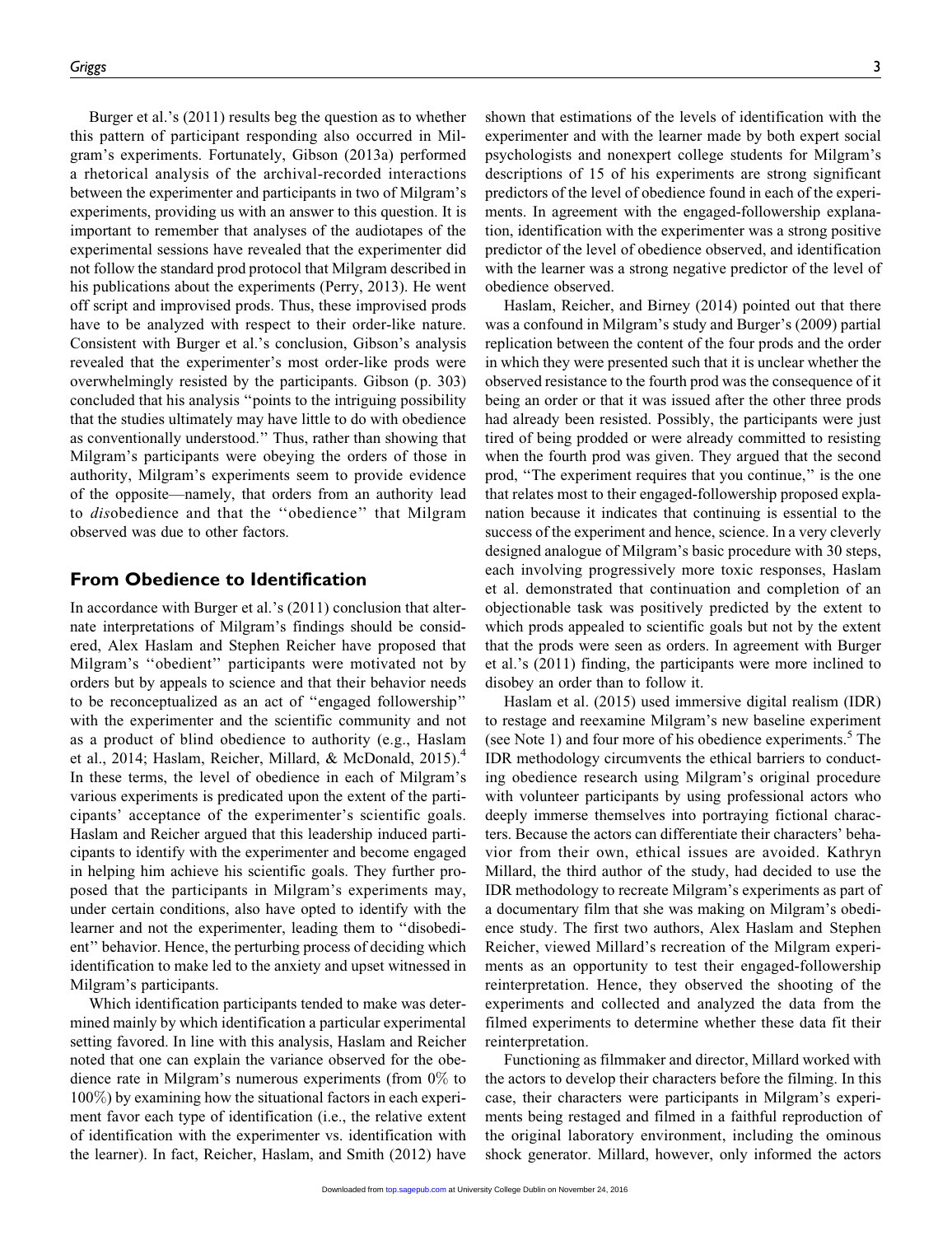Burger et al.'s (2011) results beg the question as to whether this pattern of participant responding also occurred in Milgram's experiments. Fortunately, Gibson (2013a) performed a rhetorical analysis of the archival-recorded interactions between the experimenter and participants in two of Milgram's experiments, providing us with an answer to this question. It is important to remember that analyses of the audiotapes of the experimental sessions have revealed that the experimenter did not follow the standard prod protocol that Milgram described in his publications about the experiments (Perry, 2013). He went off script and improvised prods. Thus, these improvised prods have to be analyzed with respect to their order-like nature. Consistent with Burger et al.'s conclusion, Gibson's analysis revealed that the experimenter's most order-like prods were overwhelmingly resisted by the participants. Gibson (p. 303) concluded that his analysis ''points to the intriguing possibility that the studies ultimately may have little to do with obedience as conventionally understood.'' Thus, rather than showing that Milgram's participants were obeying the orders of those in authority, Milgram's experiments seem to provide evidence of the opposite—namely, that orders from an authority lead to disobedience and that the ''obedience'' that Milgram observed was due to other factors.

## From Obedience to Identification

In accordance with Burger et al.'s (2011) conclusion that alternate interpretations of Milgram's findings should be considered, Alex Haslam and Stephen Reicher have proposed that Milgram's ''obedient'' participants were motivated not by orders but by appeals to science and that their behavior needs to be reconceptualized as an act of ''engaged followership'' with the experimenter and the scientific community and not as a product of blind obedience to authority (e.g., Haslam et al., 2014; Haslam, Reicher, Millard, & McDonald, 2015).<sup>4</sup> In these terms, the level of obedience in each of Milgram's various experiments is predicated upon the extent of the participants' acceptance of the experimenter's scientific goals. Haslam and Reicher argued that this leadership induced participants to identify with the experimenter and become engaged in helping him achieve his scientific goals. They further proposed that the participants in Milgram's experiments may, under certain conditions, also have opted to identify with the learner and not the experimenter, leading them to ''disobedient'' behavior. Hence, the perturbing process of deciding which identification to make led to the anxiety and upset witnessed in Milgram's participants.

Which identification participants tended to make was determined mainly by which identification a particular experimental setting favored. In line with this analysis, Haslam and Reicher noted that one can explain the variance observed for the obedience rate in Milgram's numerous experiments (from 0% to 100%) by examining how the situational factors in each experiment favor each type of identification (i.e., the relative extent of identification with the experimenter vs. identification with the learner). In fact, Reicher, Haslam, and Smith (2012) have

shown that estimations of the levels of identification with the experimenter and with the learner made by both expert social psychologists and nonexpert college students for Milgram's descriptions of 15 of his experiments are strong significant predictors of the level of obedience found in each of the experiments. In agreement with the engaged-followership explanation, identification with the experimenter was a strong positive predictor of the level of obedience observed, and identification with the learner was a strong negative predictor of the level of obedience observed.

Haslam, Reicher, and Birney (2014) pointed out that there was a confound in Milgram's study and Burger's (2009) partial replication between the content of the four prods and the order in which they were presented such that it is unclear whether the observed resistance to the fourth prod was the consequence of it being an order or that it was issued after the other three prods had already been resisted. Possibly, the participants were just tired of being prodded or were already committed to resisting when the fourth prod was given. They argued that the second prod, "The experiment requires that you continue," is the one that relates most to their engaged-followership proposed explanation because it indicates that continuing is essential to the success of the experiment and hence, science. In a very cleverly designed analogue of Milgram's basic procedure with 30 steps, each involving progressively more toxic responses, Haslam et al. demonstrated that continuation and completion of an objectionable task was positively predicted by the extent to which prods appealed to scientific goals but not by the extent that the prods were seen as orders. In agreement with Burger et al.'s (2011) finding, the participants were more inclined to disobey an order than to follow it.

Haslam et al. (2015) used immersive digital realism (IDR) to restage and reexamine Milgram's new baseline experiment (see Note 1) and four more of his obedience experiments.<sup>5</sup> The IDR methodology circumvents the ethical barriers to conducting obedience research using Milgram's original procedure with volunteer participants by using professional actors who deeply immerse themselves into portraying fictional characters. Because the actors can differentiate their characters' behavior from their own, ethical issues are avoided. Kathryn Millard, the third author of the study, had decided to use the IDR methodology to recreate Milgram's experiments as part of a documentary film that she was making on Milgram's obedience study. The first two authors, Alex Haslam and Stephen Reicher, viewed Millard's recreation of the Milgram experiments as an opportunity to test their engaged-followership reinterpretation. Hence, they observed the shooting of the experiments and collected and analyzed the data from the filmed experiments to determine whether these data fit their reinterpretation.

Functioning as filmmaker and director, Millard worked with the actors to develop their characters before the filming. In this case, their characters were participants in Milgram's experiments being restaged and filmed in a faithful reproduction of the original laboratory environment, including the ominous shock generator. Millard, however, only informed the actors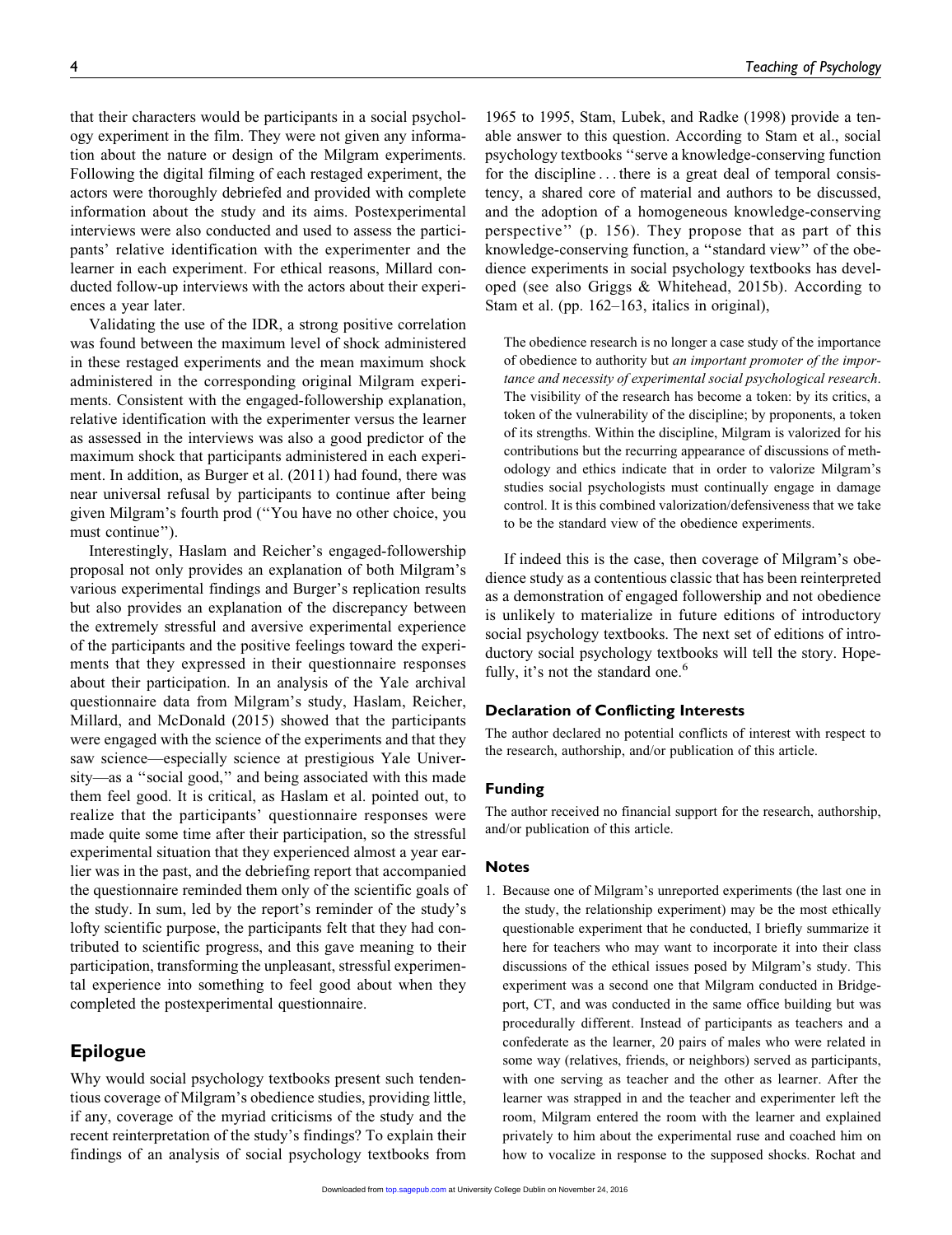that their characters would be participants in a social psychology experiment in the film. They were not given any information about the nature or design of the Milgram experiments. Following the digital filming of each restaged experiment, the actors were thoroughly debriefed and provided with complete information about the study and its aims. Postexperimental interviews were also conducted and used to assess the participants' relative identification with the experimenter and the learner in each experiment. For ethical reasons, Millard conducted follow-up interviews with the actors about their experiences a year later.

Validating the use of the IDR, a strong positive correlation was found between the maximum level of shock administered in these restaged experiments and the mean maximum shock administered in the corresponding original Milgram experiments. Consistent with the engaged-followership explanation, relative identification with the experimenter versus the learner as assessed in the interviews was also a good predictor of the maximum shock that participants administered in each experiment. In addition, as Burger et al. (2011) had found, there was near universal refusal by participants to continue after being given Milgram's fourth prod (''You have no other choice, you must continue'').

Interestingly, Haslam and Reicher's engaged-followership proposal not only provides an explanation of both Milgram's various experimental findings and Burger's replication results but also provides an explanation of the discrepancy between the extremely stressful and aversive experimental experience of the participants and the positive feelings toward the experiments that they expressed in their questionnaire responses about their participation. In an analysis of the Yale archival questionnaire data from Milgram's study, Haslam, Reicher, Millard, and McDonald (2015) showed that the participants were engaged with the science of the experiments and that they saw science—especially science at prestigious Yale University—as a ''social good,'' and being associated with this made them feel good. It is critical, as Haslam et al. pointed out, to realize that the participants' questionnaire responses were made quite some time after their participation, so the stressful experimental situation that they experienced almost a year earlier was in the past, and the debriefing report that accompanied the questionnaire reminded them only of the scientific goals of the study. In sum, led by the report's reminder of the study's lofty scientific purpose, the participants felt that they had contributed to scientific progress, and this gave meaning to their participation, transforming the unpleasant, stressful experimental experience into something to feel good about when they completed the postexperimental questionnaire.

## Epilogue

Why would social psychology textbooks present such tendentious coverage of Milgram's obedience studies, providing little, if any, coverage of the myriad criticisms of the study and the recent reinterpretation of the study's findings? To explain their findings of an analysis of social psychology textbooks from

1965 to 1995, Stam, Lubek, and Radke (1998) provide a tenable answer to this question. According to Stam et al., social psychology textbooks ''serve a knowledge-conserving function for the discipline ... there is a great deal of temporal consistency, a shared core of material and authors to be discussed, and the adoption of a homogeneous knowledge-conserving perspective'' (p. 156). They propose that as part of this knowledge-conserving function, a ''standard view'' of the obedience experiments in social psychology textbooks has developed (see also Griggs & Whitehead, 2015b). According to Stam et al. (pp. 162–163, italics in original),

The obedience research is no longer a case study of the importance of obedience to authority but an important promoter of the importance and necessity of experimental social psychological research. The visibility of the research has become a token: by its critics, a token of the vulnerability of the discipline; by proponents, a token of its strengths. Within the discipline, Milgram is valorized for his contributions but the recurring appearance of discussions of methodology and ethics indicate that in order to valorize Milgram's studies social psychologists must continually engage in damage control. It is this combined valorization/defensiveness that we take to be the standard view of the obedience experiments.

If indeed this is the case, then coverage of Milgram's obedience study as a contentious classic that has been reinterpreted as a demonstration of engaged followership and not obedience is unlikely to materialize in future editions of introductory social psychology textbooks. The next set of editions of introductory social psychology textbooks will tell the story. Hopefully, it's not the standard one. $<sup>6</sup>$ </sup>

## Declaration of Conflicting Interests

The author declared no potential conflicts of interest with respect to the research, authorship, and/or publication of this article.

## Funding

The author received no financial support for the research, authorship, and/or publication of this article.

### Notes

1. Because one of Milgram's unreported experiments (the last one in the study, the relationship experiment) may be the most ethically questionable experiment that he conducted, I briefly summarize it here for teachers who may want to incorporate it into their class discussions of the ethical issues posed by Milgram's study. This experiment was a second one that Milgram conducted in Bridgeport, CT, and was conducted in the same office building but was procedurally different. Instead of participants as teachers and a confederate as the learner, 20 pairs of males who were related in some way (relatives, friends, or neighbors) served as participants, with one serving as teacher and the other as learner. After the learner was strapped in and the teacher and experimenter left the room, Milgram entered the room with the learner and explained privately to him about the experimental ruse and coached him on how to vocalize in response to the supposed shocks. Rochat and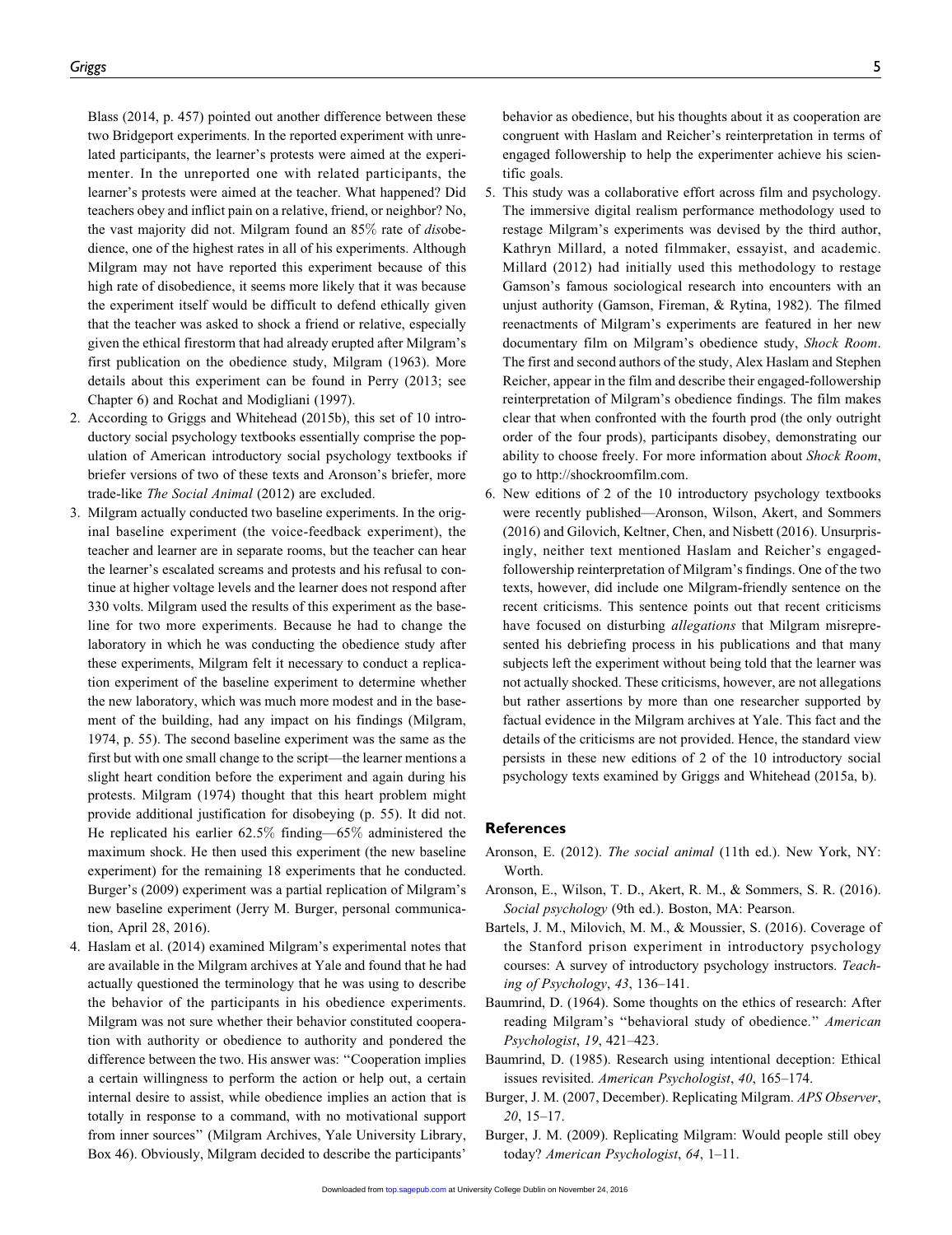Blass (2014, p. 457) pointed out another difference between these two Bridgeport experiments. In the reported experiment with unrelated participants, the learner's protests were aimed at the experimenter. In the unreported one with related participants, the learner's protests were aimed at the teacher. What happened? Did teachers obey and inflict pain on a relative, friend, or neighbor? No, the vast majority did not. Milgram found an 85% rate of disobedience, one of the highest rates in all of his experiments. Although Milgram may not have reported this experiment because of this high rate of disobedience, it seems more likely that it was because the experiment itself would be difficult to defend ethically given that the teacher was asked to shock a friend or relative, especially given the ethical firestorm that had already erupted after Milgram's first publication on the obedience study, Milgram (1963). More details about this experiment can be found in Perry (2013; see Chapter 6) and Rochat and Modigliani (1997).

- 2. According to Griggs and Whitehead (2015b), this set of 10 introductory social psychology textbooks essentially comprise the population of American introductory social psychology textbooks if briefer versions of two of these texts and Aronson's briefer, more trade-like The Social Animal (2012) are excluded.
- 3. Milgram actually conducted two baseline experiments. In the original baseline experiment (the voice-feedback experiment), the teacher and learner are in separate rooms, but the teacher can hear the learner's escalated screams and protests and his refusal to continue at higher voltage levels and the learner does not respond after 330 volts. Milgram used the results of this experiment as the baseline for two more experiments. Because he had to change the laboratory in which he was conducting the obedience study after these experiments, Milgram felt it necessary to conduct a replication experiment of the baseline experiment to determine whether the new laboratory, which was much more modest and in the basement of the building, had any impact on his findings (Milgram, 1974, p. 55). The second baseline experiment was the same as the first but with one small change to the script—the learner mentions a slight heart condition before the experiment and again during his protests. Milgram (1974) thought that this heart problem might provide additional justification for disobeying (p. 55). It did not. He replicated his earlier 62.5% finding—65% administered the maximum shock. He then used this experiment (the new baseline experiment) for the remaining 18 experiments that he conducted. Burger's (2009) experiment was a partial replication of Milgram's new baseline experiment (Jerry M. Burger, personal communication, April 28, 2016).
- 4. Haslam et al. (2014) examined Milgram's experimental notes that are available in the Milgram archives at Yale and found that he had actually questioned the terminology that he was using to describe the behavior of the participants in his obedience experiments. Milgram was not sure whether their behavior constituted cooperation with authority or obedience to authority and pondered the difference between the two. His answer was: ''Cooperation implies a certain willingness to perform the action or help out, a certain internal desire to assist, while obedience implies an action that is totally in response to a command, with no motivational support from inner sources'' (Milgram Archives, Yale University Library, Box 46). Obviously, Milgram decided to describe the participants'

behavior as obedience, but his thoughts about it as cooperation are congruent with Haslam and Reicher's reinterpretation in terms of engaged followership to help the experimenter achieve his scientific goals.

- 5. This study was a collaborative effort across film and psychology. The immersive digital realism performance methodology used to restage Milgram's experiments was devised by the third author, Kathryn Millard, a noted filmmaker, essayist, and academic. Millard (2012) had initially used this methodology to restage Gamson's famous sociological research into encounters with an unjust authority (Gamson, Fireman, & Rytina, 1982). The filmed reenactments of Milgram's experiments are featured in her new documentary film on Milgram's obedience study, Shock Room. The first and second authors of the study, Alex Haslam and Stephen Reicher, appear in the film and describe their engaged-followership reinterpretation of Milgram's obedience findings. The film makes clear that when confronted with the fourth prod (the only outright order of the four prods), participants disobey, demonstrating our ability to choose freely. For more information about Shock Room, go to<http://shockroomfilm.com>.
- 6. New editions of 2 of the 10 introductory psychology textbooks were recently published—Aronson, Wilson, Akert, and Sommers (2016) and Gilovich, Keltner, Chen, and Nisbett (2016). Unsurprisingly, neither text mentioned Haslam and Reicher's engagedfollowership reinterpretation of Milgram's findings. One of the two texts, however, did include one Milgram-friendly sentence on the recent criticisms. This sentence points out that recent criticisms have focused on disturbing allegations that Milgram misrepresented his debriefing process in his publications and that many subjects left the experiment without being told that the learner was not actually shocked. These criticisms, however, are not allegations but rather assertions by more than one researcher supported by factual evidence in the Milgram archives at Yale. This fact and the details of the criticisms are not provided. Hence, the standard view persists in these new editions of 2 of the 10 introductory social psychology texts examined by Griggs and Whitehead (2015a, b).

#### **References**

- Aronson, E. (2012). The social animal (11th ed.). New York, NY: Worth.
- Aronson, E., Wilson, T. D., Akert, R. M., & Sommers, S. R. (2016). Social psychology (9th ed.). Boston, MA: Pearson.
- Bartels, J. M., Milovich, M. M., & Moussier, S. (2016). Coverage of the Stanford prison experiment in introductory psychology courses: A survey of introductory psychology instructors. Teaching of Psychology, 43, 136–141.
- Baumrind, D. (1964). Some thoughts on the ethics of research: After reading Milgram's ''behavioral study of obedience.'' American Psychologist, 19, 421–423.
- Baumrind, D. (1985). Research using intentional deception: Ethical issues revisited. American Psychologist, 40, 165–174.
- Burger, J. M. (2007, December). Replicating Milgram. APS Observer, 20, 15–17.
- Burger, J. M. (2009). Replicating Milgram: Would people still obey today? American Psychologist, 64, 1–11.